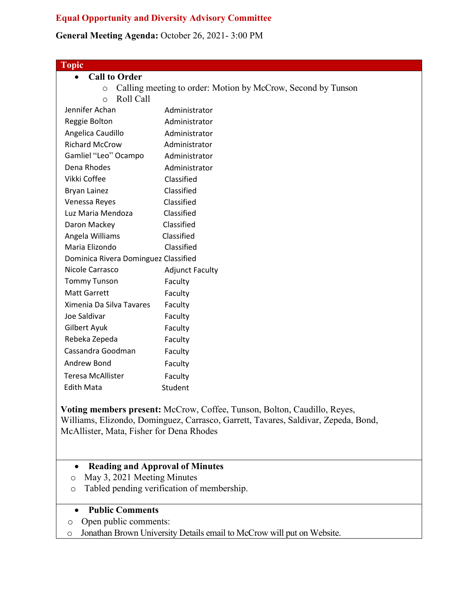## **Equal Opportunity and Diversity Advisory Committee**

## **General Meeting Agenda:** October 26, 2021- 3:00 PM

| <b>Topic</b>                         |                                                              |
|--------------------------------------|--------------------------------------------------------------|
| <b>Call to Order</b><br>$\bullet$    |                                                              |
| $\circ$                              | Calling meeting to order: Motion by McCrow, Second by Tunson |
| Roll Call<br>$\circ$                 |                                                              |
| Jennifer Achan                       | Administrator                                                |
| Reggie Bolton                        | Administrator                                                |
| Angelica Caudillo                    | Administrator                                                |
| <b>Richard McCrow</b>                | Administrator                                                |
| Gamliel "Leo" Ocampo                 | Administrator                                                |
| Dena Rhodes                          | Administrator                                                |
| Vikki Coffee                         | Classified                                                   |
| <b>Bryan Lainez</b>                  | Classified                                                   |
| Venessa Reyes                        | Classified                                                   |
| Luz Maria Mendoza                    | Classified                                                   |
| Daron Mackey                         | Classified                                                   |
| Angela Williams                      | Classified                                                   |
| Maria Elizondo                       | Classified                                                   |
| Dominica Rivera Dominguez Classified |                                                              |
| Nicole Carrasco                      | <b>Adjunct Faculty</b>                                       |
| <b>Tommy Tunson</b>                  | Faculty                                                      |
| <b>Matt Garrett</b>                  | Faculty                                                      |
| Ximenia Da Silva Tavares             | Faculty                                                      |
| Joe Saldivar                         | Faculty                                                      |
| Gilbert Ayuk                         | Faculty                                                      |
| Rebeka Zepeda                        | Faculty                                                      |
| Cassandra Goodman                    | Faculty                                                      |
| Andrew Bond                          | Faculty                                                      |
| <b>Teresa McAllister</b>             | Faculty                                                      |
| <b>Edith Mata</b>                    | Student                                                      |
|                                      |                                                              |

**Voting members present:** McCrow, Coffee, Tunson, Bolton, Caudillo, Reyes, Williams, Elizondo, Dominguez, Carrasco, Garrett, Tavares, Saldivar, Zepeda, Bond, McAllister, Mata, Fisher for Dena Rhodes

# • **Reading and Approval of Minutes**

- o May 3, 2021 Meeting Minutes
- o Tabled pending verification of membership.

#### • **Public Comments**

- o Open public comments:
- o Jonathan Brown University Details email to McCrow will put on Website.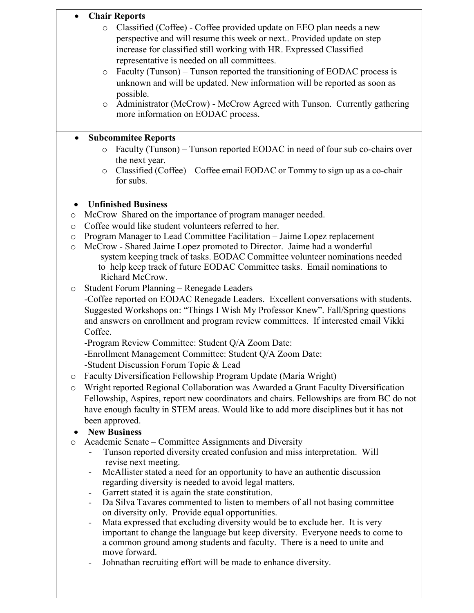|              | <b>Chair Reports</b><br>Classified (Coffee) - Coffee provided update on EEO plan needs a new<br>$\circ$<br>perspective and will resume this week or next Provided update on step |  |
|--------------|----------------------------------------------------------------------------------------------------------------------------------------------------------------------------------|--|
|              | increase for classified still working with HR. Expressed Classified                                                                                                              |  |
|              | representative is needed on all committees.                                                                                                                                      |  |
|              | Faculty (Tunson) – Tunson reported the transitioning of EODAC process is<br>$\circ$                                                                                              |  |
|              | unknown and will be updated. New information will be reported as soon as                                                                                                         |  |
|              | possible.                                                                                                                                                                        |  |
|              | Administrator (McCrow) - McCrow Agreed with Tunson. Currently gathering<br>$\circ$                                                                                               |  |
|              | more information on EODAC process.                                                                                                                                               |  |
| $\bullet$    | <b>Subcommitee Reports</b>                                                                                                                                                       |  |
|              | Faculty (Tunson) – Tunson reported EODAC in need of four sub co-chairs over<br>$\circ$                                                                                           |  |
|              | the next year.                                                                                                                                                                   |  |
|              | Classified (Coffee) – Coffee email EODAC or Tommy to sign up as a co-chair<br>$\circ$                                                                                            |  |
|              | for subs.                                                                                                                                                                        |  |
|              |                                                                                                                                                                                  |  |
| $\bullet$    | <b>Unfinished Business</b><br>McCrow Shared on the importance of program manager needed.                                                                                         |  |
| O<br>$\circ$ | Coffee would like student volunteers referred to her.                                                                                                                            |  |
| $\circ$      | Program Manager to Lead Committee Facilitation - Jaime Lopez replacement                                                                                                         |  |
| $\circ$      | McCrow - Shared Jaime Lopez promoted to Director. Jaime had a wonderful                                                                                                          |  |
|              | system keeping track of tasks. EODAC Committee volunteer nominations needed                                                                                                      |  |
|              | to help keep track of future EODAC Committee tasks. Email nominations to                                                                                                         |  |
|              | Richard McCrow.                                                                                                                                                                  |  |
| O            | Student Forum Planning - Renegade Leaders                                                                                                                                        |  |
|              | -Coffee reported on EODAC Renegade Leaders. Excellent conversations with students.                                                                                               |  |
|              | Suggested Workshops on: "Things I Wish My Professor Knew". Fall/Spring questions<br>and answers on enrollment and program review committees. If interested email Vikki           |  |
|              | Coffee.                                                                                                                                                                          |  |
|              | -Program Review Committee: Student Q/A Zoom Date:                                                                                                                                |  |
|              | -Enrollment Management Committee: Student Q/A Zoom Date:                                                                                                                         |  |
|              | -Student Discussion Forum Topic & Lead                                                                                                                                           |  |
| $\circ$      | Faculty Diversification Fellowship Program Update (Maria Wright)                                                                                                                 |  |
| $\circ$      | Wright reported Regional Collaboration was Awarded a Grant Faculty Diversification                                                                                               |  |
|              | Fellowship, Aspires, report new coordinators and chairs. Fellowships are from BC do not                                                                                          |  |
|              | have enough faculty in STEM areas. Would like to add more disciplines but it has not                                                                                             |  |
|              | been approved.                                                                                                                                                                   |  |
| $\bullet$    | <b>New Business</b><br>Academic Senate – Committee Assignments and Diversity                                                                                                     |  |
| $\circ$      | Tunson reported diversity created confusion and miss interpretation. Will                                                                                                        |  |
|              | revise next meeting.                                                                                                                                                             |  |
|              | McAllister stated a need for an opportunity to have an authentic discussion<br>$\blacksquare$                                                                                    |  |
|              | regarding diversity is needed to avoid legal matters.                                                                                                                            |  |
|              | Garrett stated it is again the state constitution.                                                                                                                               |  |
|              | Da Silva Tavares commented to listen to members of all not basing committee<br>on diversity only. Provide equal opportunities.                                                   |  |
|              | Mata expressed that excluding diversity would be to exclude her. It is very<br>$\blacksquare$                                                                                    |  |
|              | important to change the language but keep diversity. Everyone needs to come to                                                                                                   |  |
|              | a common ground among students and faculty. There is a need to unite and                                                                                                         |  |
|              | move forward.                                                                                                                                                                    |  |
|              | Johnathan recruiting effort will be made to enhance diversity.                                                                                                                   |  |
|              |                                                                                                                                                                                  |  |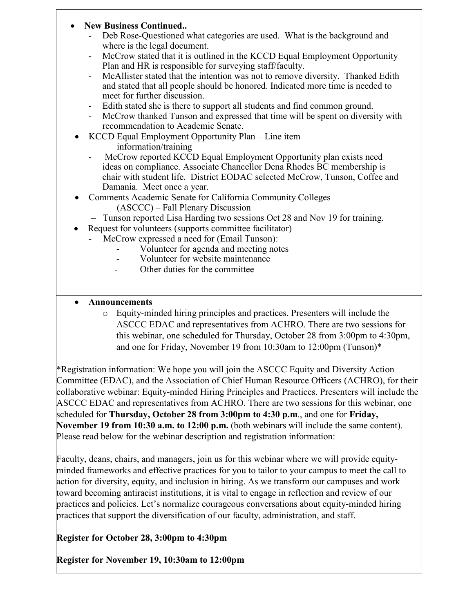### • **New Business Continued..**

- Deb Rose-Questioned what categories are used. What is the background and where is the legal document.
- McCrow stated that it is outlined in the KCCD Equal Employment Opportunity Plan and HR is responsible for surveying staff/faculty.
- McAllister stated that the intention was not to remove diversity. Thanked Edith and stated that all people should be honored. Indicated more time is needed to meet for further discussion.
- Edith stated she is there to support all students and find common ground.
- McCrow thanked Tunson and expressed that time will be spent on diversity with recommendation to Academic Senate.
- KCCD Equal Employment Opportunity Plan Line item information/training
	- McCrow reported KCCD Equal Employment Opportunity plan exists need ideas on compliance. Associate Chancellor Dena Rhodes BC membership is chair with student life. District EODAC selected McCrow, Tunson, Coffee and Damania. Meet once a year.
- Comments Academic Senate for California Community Colleges (ASCCC) – Fall Plenary Discussion
	- Tunson reported Lisa Harding two sessions Oct 28 and Nov 19 for training.
- Request for volunteers (supports committee facilitator)
	- McCrow expressed a need for (Email Tunson):
		- Volunteer for agenda and meeting notes
		- Volunteer for website maintenance
		- Other duties for the committee

### • **Announcements**

o Equity-minded hiring principles and practices. Presenters will include the ASCCC EDAC and representatives from ACHRO. There are two sessions for this webinar, one scheduled for Thursday, October 28 from 3:00pm to 4:30pm, and one for Friday, November 19 from 10:30am to 12:00pm (Tunson)\*

\*Registration information: We hope you will join the ASCCC Equity and Diversity Action Committee (EDAC), and the Association of Chief Human Resource Officers (ACHRO), for their collaborative webinar: Equity-minded Hiring Principles and Practices. Presenters will include the ASCCC EDAC and representatives from ACHRO. There are two sessions for this webinar, one scheduled for **Thursday, October 28 from 3:00pm to 4:30 p.m**., and one for **Friday, November 19 from 10:30 a.m. to 12:00 p.m.** (both webinars will include the same content). Please read below for the webinar description and registration information:

Faculty, deans, chairs, and managers, join us for this webinar where we will provide equityminded frameworks and effective practices for you to tailor to your campus to meet the call to action for diversity, equity, and inclusion in hiring. As we transform our campuses and work toward becoming antiracist institutions, it is vital to engage in reflection and review of our practices and policies. Let's normalize courageous conversations about equity-minded hiring practices that support the diversification of our faculty, administration, and staff.

**Register for October 28, 3:00pm to 4:30pm**

**Register for November 19, 10:30am to 12:00pm**